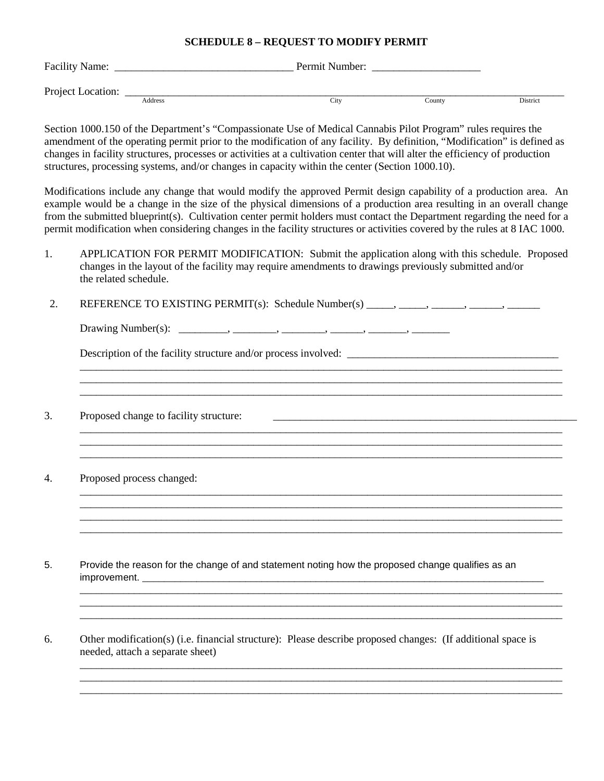## **SCHEDULE 8 – REQUEST TO MODIFY PERMIT**

| Facility Name:    |         | Permit Number: |        |          |
|-------------------|---------|----------------|--------|----------|
| Project Location: |         |                |        |          |
|                   | Address | City           | County | District |

Section 1000.150 of the Department's "Compassionate Use of Medical Cannabis Pilot Program" rules requires the amendment of the operating permit prior to the modification of any facility. By definition, "Modification" is defined as changes in facility structures, processes or activities at a cultivation center that will alter the efficiency of production structures, processing systems, and/or changes in capacity within the center (Section 1000.10).

Modifications include any change that would modify the approved Permit design capability of a production area. An example would be a change in the size of the physical dimensions of a production area resulting in an overall change from the submitted blueprint(s). Cultivation center permit holders must contact the Department regarding the need for a permit modification when considering changes in the facility structures or activities covered by the rules at 8 IAC 1000.

1. APPLICATION FOR PERMIT MODIFICATION: Submit the application along with this schedule. Proposed changes in the layout of the facility may require amendments to drawings previously submitted and/or the related schedule.

\_\_\_\_\_\_\_\_\_\_\_\_\_\_\_\_\_\_\_\_\_\_\_\_\_\_\_\_\_\_\_\_\_\_\_\_\_\_\_\_\_\_\_\_\_\_\_\_\_\_\_\_\_\_\_\_\_\_\_\_\_\_\_\_\_\_\_\_\_\_\_\_\_\_\_\_\_\_\_\_\_\_\_\_\_\_\_\_\_ \_\_\_\_\_\_\_\_\_\_\_\_\_\_\_\_\_\_\_\_\_\_\_\_\_\_\_\_\_\_\_\_\_\_\_\_\_\_\_\_\_\_\_\_\_\_\_\_\_\_\_\_\_\_\_\_\_\_\_\_\_\_\_\_\_\_\_\_\_\_\_\_\_\_\_\_\_\_\_\_\_\_\_\_\_\_\_\_\_ \_\_\_\_\_\_\_\_\_\_\_\_\_\_\_\_\_\_\_\_\_\_\_\_\_\_\_\_\_\_\_\_\_\_\_\_\_\_\_\_\_\_\_\_\_\_\_\_\_\_\_\_\_\_\_\_\_\_\_\_\_\_\_\_\_\_\_\_\_\_\_\_\_\_\_\_\_\_\_\_\_\_\_\_\_\_\_\_\_

\_\_\_\_\_\_\_\_\_\_\_\_\_\_\_\_\_\_\_\_\_\_\_\_\_\_\_\_\_\_\_\_\_\_\_\_\_\_\_\_\_\_\_\_\_\_\_\_\_\_\_\_\_\_\_\_\_\_\_\_\_\_\_\_\_\_\_\_\_\_\_\_\_\_\_\_\_\_\_\_\_\_\_\_\_\_\_\_\_ \_\_\_\_\_\_\_\_\_\_\_\_\_\_\_\_\_\_\_\_\_\_\_\_\_\_\_\_\_\_\_\_\_\_\_\_\_\_\_\_\_\_\_\_\_\_\_\_\_\_\_\_\_\_\_\_\_\_\_\_\_\_\_\_\_\_\_\_\_\_\_\_\_\_\_\_\_\_\_\_\_\_\_\_\_\_\_\_\_ \_\_\_\_\_\_\_\_\_\_\_\_\_\_\_\_\_\_\_\_\_\_\_\_\_\_\_\_\_\_\_\_\_\_\_\_\_\_\_\_\_\_\_\_\_\_\_\_\_\_\_\_\_\_\_\_\_\_\_\_\_\_\_\_\_\_\_\_\_\_\_\_\_\_\_\_\_\_\_\_\_\_\_\_\_\_\_\_\_

\_\_\_\_\_\_\_\_\_\_\_\_\_\_\_\_\_\_\_\_\_\_\_\_\_\_\_\_\_\_\_\_\_\_\_\_\_\_\_\_\_\_\_\_\_\_\_\_\_\_\_\_\_\_\_\_\_\_\_\_\_\_\_\_\_\_\_\_\_\_\_\_\_\_\_\_\_\_\_\_\_\_\_\_\_\_\_\_\_

\_\_\_\_\_\_\_\_\_\_\_\_\_\_\_\_\_\_\_\_\_\_\_\_\_\_\_\_\_\_\_\_\_\_\_\_\_\_\_\_\_\_\_\_\_\_\_\_\_\_\_\_\_\_\_\_\_\_\_\_\_\_\_\_\_\_\_\_\_\_\_\_\_\_\_\_\_\_\_\_\_\_\_\_\_\_\_\_\_ \_\_\_\_\_\_\_\_\_\_\_\_\_\_\_\_\_\_\_\_\_\_\_\_\_\_\_\_\_\_\_\_\_\_\_\_\_\_\_\_\_\_\_\_\_\_\_\_\_\_\_\_\_\_\_\_\_\_\_\_\_\_\_\_\_\_\_\_\_\_\_\_\_\_\_\_\_\_\_\_\_\_\_\_\_\_\_\_\_

\_\_\_\_\_\_\_\_\_\_\_\_\_\_\_\_\_\_\_\_\_\_\_\_\_\_\_\_\_\_\_\_\_\_\_\_\_\_\_\_\_\_\_\_\_\_\_\_\_\_\_\_\_\_\_\_\_\_\_\_\_\_\_\_\_\_\_\_\_\_\_\_\_\_\_\_\_\_\_\_\_\_\_\_\_\_\_\_\_ \_\_\_\_\_\_\_\_\_\_\_\_\_\_\_\_\_\_\_\_\_\_\_\_\_\_\_\_\_\_\_\_\_\_\_\_\_\_\_\_\_\_\_\_\_\_\_\_\_\_\_\_\_\_\_\_\_\_\_\_\_\_\_\_\_\_\_\_\_\_\_\_\_\_\_\_\_\_\_\_\_\_\_\_\_\_\_\_\_ \_\_\_\_\_\_\_\_\_\_\_\_\_\_\_\_\_\_\_\_\_\_\_\_\_\_\_\_\_\_\_\_\_\_\_\_\_\_\_\_\_\_\_\_\_\_\_\_\_\_\_\_\_\_\_\_\_\_\_\_\_\_\_\_\_\_\_\_\_\_\_\_\_\_\_\_\_\_\_\_\_\_\_\_\_\_\_\_\_

\_\_\_\_\_\_\_\_\_\_\_\_\_\_\_\_\_\_\_\_\_\_\_\_\_\_\_\_\_\_\_\_\_\_\_\_\_\_\_\_\_\_\_\_\_\_\_\_\_\_\_\_\_\_\_\_\_\_\_\_\_\_\_\_\_\_\_\_\_\_\_\_\_\_\_\_\_\_\_\_\_\_\_\_\_\_\_\_\_ \_\_\_\_\_\_\_\_\_\_\_\_\_\_\_\_\_\_\_\_\_\_\_\_\_\_\_\_\_\_\_\_\_\_\_\_\_\_\_\_\_\_\_\_\_\_\_\_\_\_\_\_\_\_\_\_\_\_\_\_\_\_\_\_\_\_\_\_\_\_\_\_\_\_\_\_\_\_\_\_\_\_\_\_\_\_\_\_\_ \_\_\_\_\_\_\_\_\_\_\_\_\_\_\_\_\_\_\_\_\_\_\_\_\_\_\_\_\_\_\_\_\_\_\_\_\_\_\_\_\_\_\_\_\_\_\_\_\_\_\_\_\_\_\_\_\_\_\_\_\_\_\_\_\_\_\_\_\_\_\_\_\_\_\_\_\_\_\_\_\_\_\_\_\_\_\_\_\_

2. REFERENCE TO EXISTING PERMIT(s): Schedule Number(s) \_\_\_\_\_, \_\_\_\_\_, \_\_\_\_\_\_, \_\_\_\_\_\_,

Drawing Number(s): \_\_\_\_\_\_\_\_\_, \_\_\_\_\_\_\_\_, \_\_\_\_\_\_\_\_, \_\_\_\_\_\_, \_\_\_\_\_\_\_, \_\_\_\_\_\_\_

Description of the facility structure and/or process involved:

3. Proposed change to facility structure:

4. Proposed process changed:

5. Provide the reason for the change of and statement noting how the proposed change qualifies as an improvement.

6. Other modification(s) (i.e. financial structure): Please describe proposed changes: (If additional space is needed, attach a separate sheet)